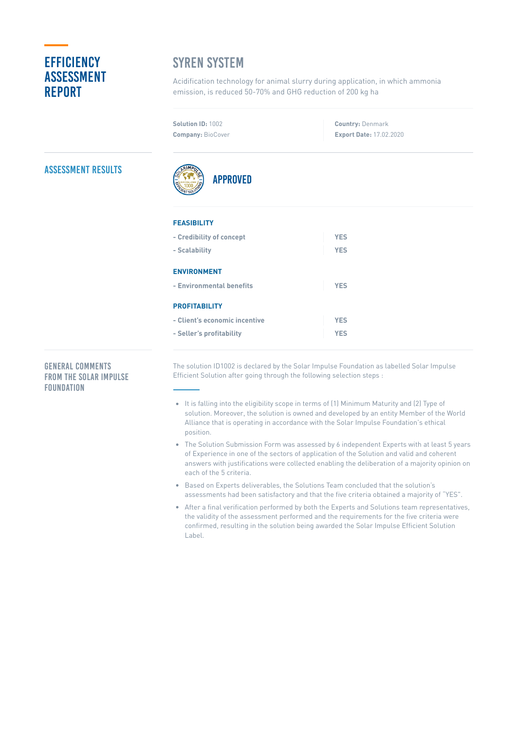# **EFFICIENCY** Assessment **REPORT**

# **SYREN SYSTEM**

Acidification technology for animal slurry during application, in which ammonia emission, is reduced 50-70% and GHG reduction of 200 kg ha

**Solution ID:** 1002 **Company:** BioCover

**Country:** Denmark **Export Date:** 17.02.2020

## Assessment Results



### **FEASIBILITY**

| - Credibility of concept      | <b>YES</b> |
|-------------------------------|------------|
| - Scalability                 | <b>YES</b> |
| <b>ENVIRONMENT</b>            |            |
| - Environmental benefits      | <b>YES</b> |
| <b>PROFITABILITY</b>          |            |
| - Client's economic incentive | <b>YES</b> |
| - Seller's profitability      | <b>YFS</b> |

### General Comments from the Solar Impulse **FOUNDATION**

The solution ID1002 is declared by the Solar Impulse Foundation as labelled Solar Impulse Efficient Solution after going through the following selection steps :

- It is falling into the eligibility scope in terms of (1) Minimum Maturity and (2) Type of solution. Moreover, the solution is owned and developed by an entity Member of the World Alliance that is operating in accordance with the Solar Impulse Foundation's ethical position.
- The Solution Submission Form was assessed by 6 independent Experts with at least 5 years of Experience in one of the sectors of application of the Solution and valid and coherent answers with justifications were collected enabling the deliberation of a majority opinion on each of the 5 criteria.
- Based on Experts deliverables, the Solutions Team concluded that the solution's  $\bullet$ assessments had been satisfactory and that the five criteria obtained a majority of "YES".
- After a final verification performed by both the Experts and Solutions team representatives, the validity of the assessment performed and the requirements for the five criteria were confirmed, resulting in the solution being awarded the Solar Impulse Efficient Solution Label.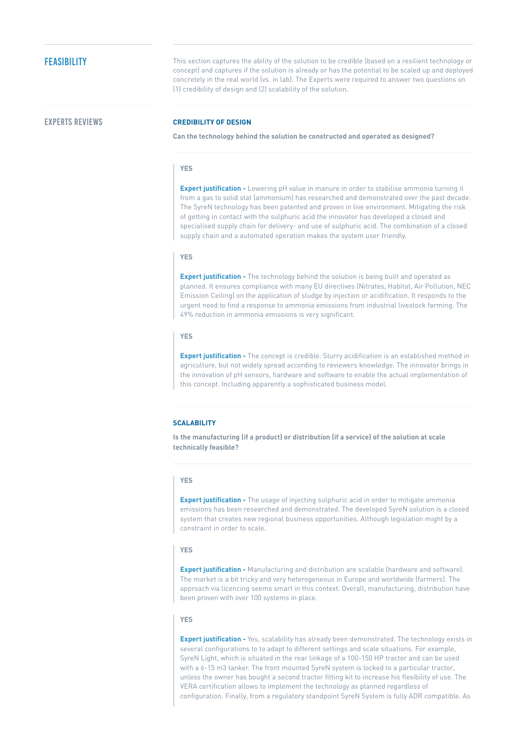## **FEASIBILITY**

This section captures the ability of the solution to be credible (based on a resilient technology or concept) and captures if the solution is already or has the potential to be scaled up and deployed concretely in the real world (vs. in lab). The Experts were required to answer two questions on (1) credibility of design and (2) scalability of the solution.

### Experts Reviews **CREDIBILITY OF DESIGN**

**Can the technology behind the solution be constructed and operated as designed?**

### **YES**

**Expert justification -** Lowering pH value in manure in order to stabilise ammonia turning it from a gas to solid stat (ammonium) has researched and demonstrated over the past decade. The SyreN technology has been patented and proven in live environment. Mitigating the risk of getting in contact with the sulphuric acid the innovator has developed a closed and specialised supply chain for delivery- and use of sulphuric acid. The combination of a closed supply chain and a automated operation makes the system user friendly.

### **YES**

**Expert justification -** The technology behind the solution is being built and operated as planned. It ensures compliance with many EU directives (Nitrates, Habitat, Air Pollution, NEC Emission Ceiling) on the application of sludge by injection or acidification. It responds to the urgent need to find a response to ammonia emissions from industrial livestock farming. The 49% reduction in ammonia emissions is very significant.

### **YES**

**Expert justification -** The concept is credible. Slurry acidification is an established method in agriculture, but not widely spread according to reviewers knowledge. The innovator brings in the innovation of pH sensors, hardware and software to enable the actual implementation of this concept. Including apparently a sophisticated business model.

### **SCALABILITY**

**Is the manufacturing (if a product) or distribution (if a service) of the solution at scale technically feasible?**

### **YES**

**Expert justification -** The usage of injecting sulphuric acid in order to mitigate ammonia emissions has been researched and demonstrated. The developed SyreN solution is a closed system that creates new regional business opportunities. Although legislation might by a constraint in order to scale.

### **YES**

**Expert justification -** Manufacturing and distribution are scalable (hardware and software). The market is a bit tricky and very heterogeneous in Europe and worldwide (farmers). The approach via licencing seems smart in this context. Overall, manufacturing, distribution have been proven with over 100 systems in place.

### **YES**

**Expert justification -** Yes, scalability has already been demonstrated. The technology exists in several configurations to to adapt to different settings and scale situations. For example, SyreN Light, which is situated in the rear linkage of a 100-150 HP tractor and can be used with a 6-15 m3 tanker. The front mounted SyreN system is locked to a particular tractor, unless the owner has bought a second tractor fitting kit to increase his flexibility of use. The VERA certification allows to implement the technology as planned regardless of configuration. Finally, from a regulatory standpoint SyreN System is fully ADR compatible. As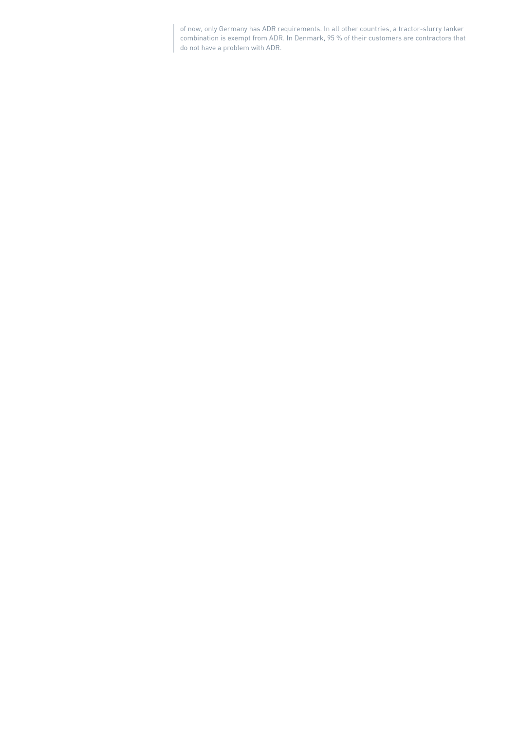of now, only Germany has ADR requirements. In all other countries, a tractor-slurry tanker combination is exempt from ADR. In Denmark, 95 % of their customers are contractors that do not have a problem with ADR.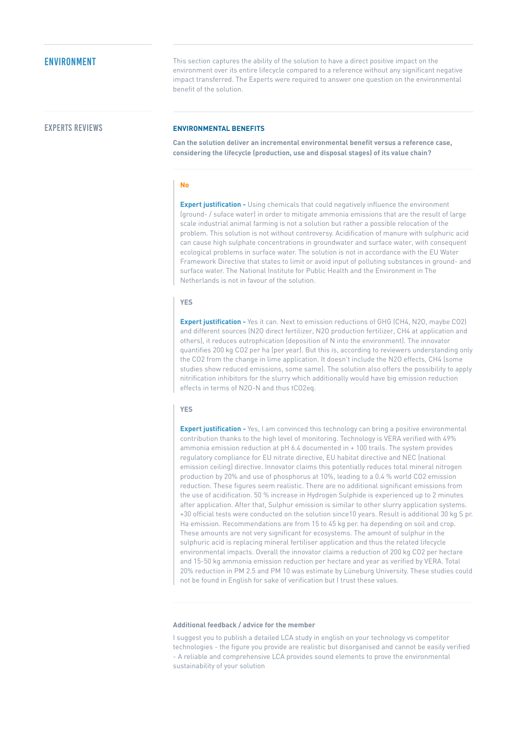**ENVIRONMENT** This section captures the ability of the solution to have a direct positive impact on the environment over its entire lifecycle compared to a reference without any significant negative impact transferred. The Experts were required to answer one question on the environmental benefit of the solution.

### Experts Reviews **ENVIRONMENTAL BENEFITS**

**Can the solution deliver an incremental environmental benefit versus a reference case, considering the lifecycle (production, use and disposal stages) of its value chain?**

### **No**

**Expert justification -** Using chemicals that could negatively influence the environment (ground- / suface water) in order to mitigate ammonia emissions that are the result of large scale industrial animal farming is not a solution but rather a possible relocation of the problem. This solution is not without controversy. Acidification of manure with sulphuric acid can cause high sulphate concentrations in groundwater and surface water, with consequent ecological problems in surface water. The solution is not in accordance with the EU Water Framework Directive that states to limit or avoid input of polluting substances in ground- and surface water. The National Institute for Public Health and the Environment in The Netherlands is not in favour of the solution.

### **YES**

**Expert justification -** Yes it can. Next to emission reductions of GHG (CH4, N2O, maybe CO2) and different sources (N2O direct fertilizer, N2O production fertilizer, CH4 at application and others), it reduces eutrophication (deposition of N into the environment). The innovator quantifies 200 kg CO2 per ha (per year). But this is, according to reviewers understanding only the CO2 from the change in lime application. It doesn't include the N2O effects, CH4 (some studies show reduced emissions, some same). The solution also offers the possibility to apply nitrification inhibitors for the slurry which additionally would have big emission reduction effects in terms of N2O-N and thus tCO2eq.

### **YES**

**Expert justification -** Yes, I am convinced this technology can bring a positive environmental contribution thanks to the high level of monitoring. Technology is VERA verified with 49% ammonia emission reduction at pH 6.4 documented in + 100 trails. The system provides regulatory compliance for EU nitrate directive, EU habitat directive and NEC (national emission ceiling) directive. Innovator claims this potentially reduces total mineral nitrogen production by 20% and use of phosphorus at 10%, leading to a 0.4 % world CO2 emission reduction. These figures seem realistic. There are no additional significant emissions from the use of acidification. 50 % increase in Hydrogen Sulphide is experienced up to 2 minutes after application. After that, Sulphur emission is similar to other slurry application systems. +30 official tests were conducted on the solution since10 years. Result is additional 30 kg S pr. Ha emission. Recommendations are from 15 to 45 kg per. ha depending on soil and crop. These amounts are not very significant for ecosystems. The amount of sulphur in the sulphuric acid is replacing mineral fertiliser application and thus the related lifecycle environmental impacts. Overall the innovator claims a reduction of 200 kg CO2 per hectare and 15-50 kg ammonia emission reduction per hectare and year as verified by VERA. Total 20% reduction in PM 2.5 and PM 10 was estimate by Lüneburg University. These studies could not be found in English for sake of verification but I trust these values.

### **Additional feedback / advice for the member**

I suggest you to publish a detailed LCA study in english on your technology vs competitor technologies - the figure you provide are realistic but disorganised and cannot be easily verified - A reliable and comprehensive LCA provides sound elements to prove the environmental sustainability of your solution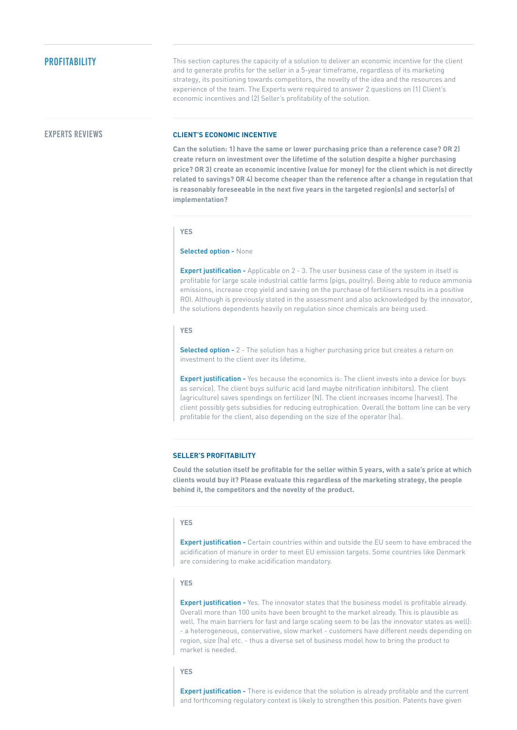This section captures the capacity of a solution to deliver an economic incentive for the client and to generate profits for the seller in a 5-year timeframe, regardless of its marketing strategy, its positioning towards competitors, the novelty of the idea and the resources and experience of the team. The Experts were required to answer 2 questions on (1) Client's economic incentives and (2) Seller's profitability of the solution.

### Experts Reviews **CLIENT'S ECONOMIC INCENTIVE**

**Can the solution: 1) have the same or lower purchasing price than a reference case? OR 2) create return on investment over the lifetime of the solution despite a higher purchasing price? OR 3) create an economic incentive (value for money) for the client which is not directly related to savings? OR 4) become cheaper than the reference after a change in regulation that is reasonably foreseeable in the next five years in the targeted region(s) and sector(s) of implementation?**

**YES**

### **Selected option -** None

**Expert justification -** Applicable on 2 - 3. The user business case of the system in itself is profitable for large scale industrial cattle farms (pigs, poultry). Being able to reduce ammonia emissions, increase crop yield and saving on the purchase of fertilisers results in a positive ROI. Although is previously stated in the assessment and also acknowledged by the innovator, the solutions dependents heavily on regulation since chemicals are being used.

### **YES**

**Selected option -** 2 - The solution has a higher purchasing price but creates a return on investment to the client over its lifetime.

**Expert justification -** Yes because the economics is: The client invests into a device (or buys as service). The client buys sulfuric acid (and maybe nitrification inhibitors). The client (agriculture) saves spendings on fertilizer (N). The client increases income (harvest). The client possibly gets subsidies for reducing eutrophication. Overall the bottom line can be very profitable for the client, also depending on the size of the operator (ha).

### **SELLER'S PROFITABILITY**

Could the solution itself be profitable for the seller within 5 years, with a sale's price at which **clients would buy it? Please evaluate this regardless of the marketing strategy, the people behind it, the competitors and the novelty of the product.**

### **YES**

**Expert justification -** Certain countries within and outside the EU seem to have embraced the acidification of manure in order to meet EU emission targets. Some countries like Denmark are considering to make acidification mandatory.

### **YES**

**Expert justification -** Yes. The innovator states that the business model is profitable already. Overall more than 100 units have been brought to the market already. This is plausible as well. The main barriers for fast and large scaling seem to be (as the innovator states as well): - a heterogeneous, conservative, slow market - customers have different needs depending on region, size (ha) etc. - thus a diverse set of business model how to bring the product to market is needed.

### **YES**

**Expert justification -** There is evidence that the solution is already profitable and the current and forthcoming regulatory context is likely to strengthen this position. Patents have given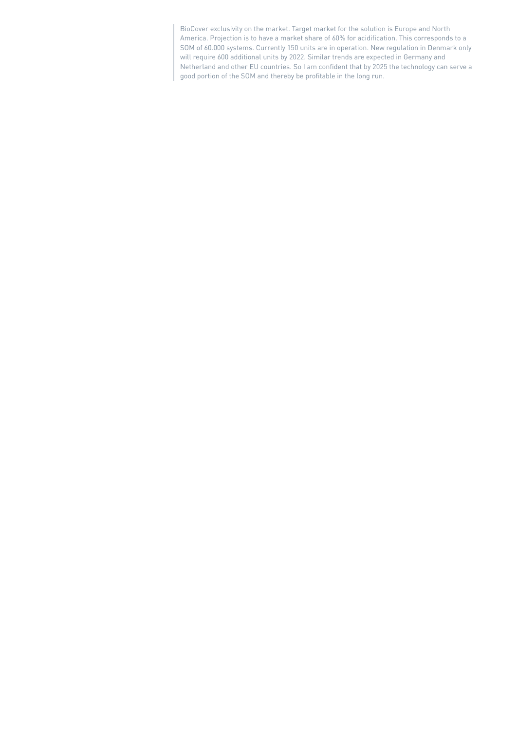BioCover exclusivity on the market. Target market for the solution is Europe and North America. Projection is to have a market share of 60% for acidification. This corresponds to a SOM of 60.000 systems. Currently 150 units are in operation. New regulation in Denmark only will require 600 additional units by 2022. Similar trends are expected in Germany and Netherland and other EU countries. So I am confident that by 2025 the technology can serve a good portion of the SOM and thereby be profitable in the long run.